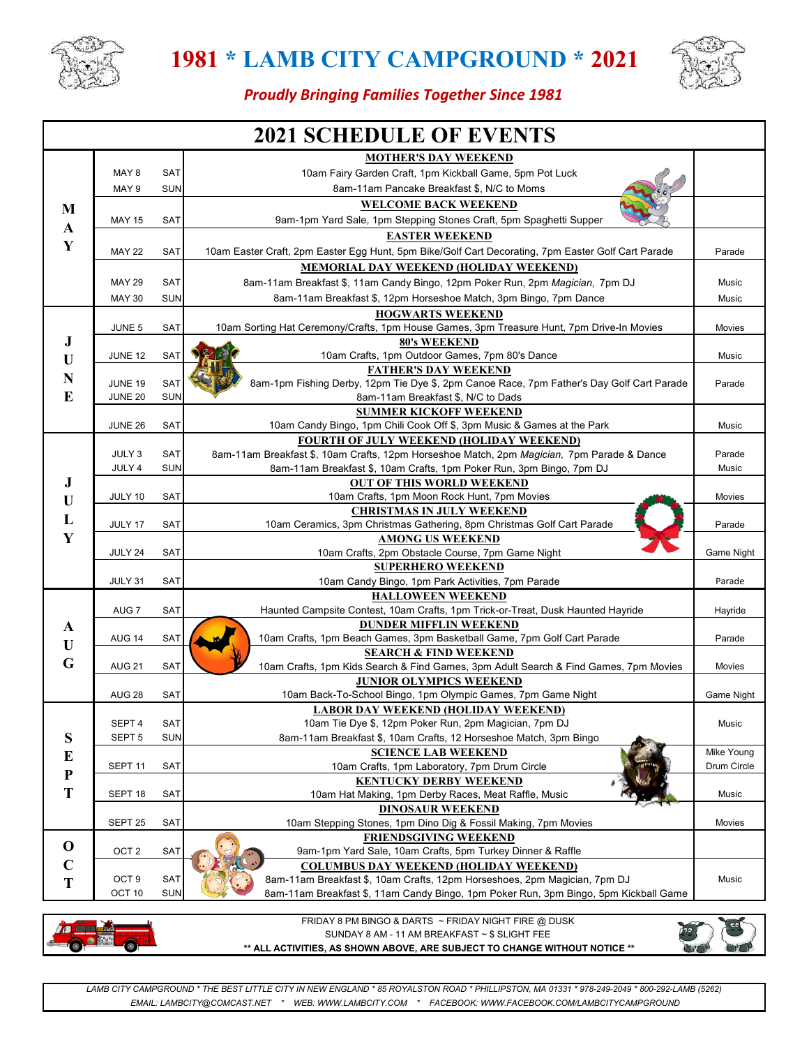



### *Proudly Bringing Families Together Since 1981*

| <b>2021 SCHEDULE OF EVENTS</b> |                              |                       |                                                                                                                          |            |  |  |  |
|--------------------------------|------------------------------|-----------------------|--------------------------------------------------------------------------------------------------------------------------|------------|--|--|--|
|                                |                              |                       | <b>MOTHER'S DAY WEEKEND</b>                                                                                              |            |  |  |  |
|                                | MAY 8                        | SAT                   | 10am Fairy Garden Craft, 1pm Kickball Game, 5pm Pot Luck                                                                 |            |  |  |  |
|                                | MAY 9                        | <b>SUN</b>            | 8am-11am Pancake Breakfast \$, N/C to Moms                                                                               |            |  |  |  |
| M                              |                              |                       | <b>WELCOME BACK WEEKEND</b>                                                                                              |            |  |  |  |
| $\mathbf{A}$                   | <b>MAY 15</b>                | SAT                   | 9am-1pm Yard Sale, 1pm Stepping Stones Craft, 5pm Spaghetti Supper                                                       |            |  |  |  |
| Y                              |                              | <b>EASTER WEEKEND</b> |                                                                                                                          |            |  |  |  |
|                                | <b>MAY 22</b><br>SAT         |                       | 10am Easter Craft, 2pm Easter Egg Hunt, 5pm Bike/Golf Cart Decorating, 7pm Easter Golf Cart Parade                       |            |  |  |  |
|                                |                              |                       | <b>MEMORIAL DAY WEEKEND (HOLIDAY WEEKEND)</b>                                                                            |            |  |  |  |
|                                | <b>MAY 29</b><br>SAT         |                       | 8am-11am Breakfast \$, 11am Candy Bingo, 12pm Poker Run, 2pm Magician, 7pm DJ                                            | Music      |  |  |  |
|                                | <b>MAY 30</b>                | <b>SUN</b>            | 8am-11am Breakfast \$, 12pm Horseshoe Match, 3pm Bingo, 7pm Dance                                                        | Music      |  |  |  |
|                                |                              |                       | <b>HOGWARTS WEEKEND</b>                                                                                                  |            |  |  |  |
|                                | JUNE 5                       | SAT                   | 10am Sorting Hat Ceremony/Crafts, 1pm House Games, 3pm Treasure Hunt, 7pm Drive-In Movies                                | Movies     |  |  |  |
| $\bf J$                        |                              |                       | <b>80's WEEKEND</b>                                                                                                      |            |  |  |  |
| U                              | <b>JUNE 12</b>               | <b>SAT</b>            | 10am Crafts, 1pm Outdoor Games, 7pm 80's Dance                                                                           | Music      |  |  |  |
| N                              | <b>JUNE 19</b>               | SAT                   | <b>FATHER'S DAY WEEKEND</b><br>8am-1pm Fishing Derby, 12pm Tie Dye \$, 2pm Canoe Race, 7pm Father's Day Golf Cart Parade | Parade     |  |  |  |
| E                              | <b>JUNE 20</b><br><b>SUN</b> |                       | 8am-11am Breakfast \$, N/C to Dads                                                                                       |            |  |  |  |
|                                |                              |                       | <b>SUMMER KICKOFF WEEKEND</b>                                                                                            |            |  |  |  |
|                                | <b>JUNE 26</b>               | <b>SAT</b>            | 10am Candy Bingo, 1pm Chili Cook Off \$, 3pm Music & Games at the Park                                                   | Music      |  |  |  |
|                                |                              |                       | <b>FOURTH OF JULY WEEKEND (HOLIDAY WEEKEND)</b>                                                                          |            |  |  |  |
|                                | JULY 3                       | SAT                   | 8am-11am Breakfast \$, 10am Crafts, 12pm Horseshoe Match, 2pm Magician, 7pm Parade & Dance                               | Parade     |  |  |  |
|                                | JULY 4                       | <b>SUN</b>            | 8am-11am Breakfast \$, 10am Crafts, 1pm Poker Run, 3pm Bingo, 7pm DJ                                                     | Music      |  |  |  |
| J                              |                              |                       | <b>OUT OF THIS WORLD WEEKEND</b>                                                                                         |            |  |  |  |
| U                              | JULY 10                      | SAT                   | 10am Crafts, 1pm Moon Rock Hunt, 7pm Movies                                                                              | Movies     |  |  |  |
| L                              | JULY 17                      | <b>SAT</b>            | <b>CHRISTMAS IN JULY WEEKEND</b>                                                                                         | Parade     |  |  |  |
| Y                              |                              |                       | 10am Ceramics, 3pm Christmas Gathering, 8pm Christmas Golf Cart Parade<br><b>AMONG US WEEKEND</b>                        |            |  |  |  |
|                                | JULY 24                      | <b>SAT</b>            | 10am Crafts, 2pm Obstacle Course, 7pm Game Night                                                                         | Game Night |  |  |  |
|                                |                              |                       | <b>SUPERHERO WEEKEND</b>                                                                                                 |            |  |  |  |
|                                | JULY 31                      | <b>SAT</b>            | 10am Candy Bingo, 1pm Park Activities, 7pm Parade                                                                        | Parade     |  |  |  |
|                                |                              |                       | <b>HALLOWEEN WEEKEND</b>                                                                                                 |            |  |  |  |
|                                | AUG <sub>7</sub>             | SAT                   | Haunted Campsite Contest, 10am Crafts, 1pm Trick-or-Treat, Dusk Haunted Hayride                                          | Hayride    |  |  |  |
| A                              |                              |                       | <b>DUNDER MIFFLIN WEEKEND</b>                                                                                            |            |  |  |  |
| U                              | <b>AUG 14</b><br>SAT         |                       | 10am Crafts, 1pm Beach Games, 3pm Basketball Game, 7pm Golf Cart Parade                                                  | Parade     |  |  |  |
| G                              | <b>AUG 21</b>                | <b>SAT</b>            | <b>SEARCH &amp; FIND WEEKEND</b>                                                                                         | Movies     |  |  |  |
|                                |                              |                       | 10am Crafts, 1pm Kids Search & Find Games, 3pm Adult Search & Find Games, 7pm Movies<br><b>JUNIOR OLYMPICS WEEKEND</b>   |            |  |  |  |
|                                | <b>AUG 28</b>                | SAT                   | 10am Back-To-School Bingo, 1pm Olympic Games, 7pm Game Night                                                             | Game Night |  |  |  |
|                                |                              |                       | <b>LABOR DAY WEEKEND (HOLIDAY WEEKEND)</b>                                                                               |            |  |  |  |
|                                | SEPT <sub>4</sub>            | SAT                   | 10am Tie Dye \$, 12pm Poker Run, 2pm Magician, 7pm DJ                                                                    | Music      |  |  |  |
| S                              | SEPT <sub>5</sub>            | <b>SUN</b>            | 8am-11am Breakfast \$, 10am Crafts, 12 Horseshoe Match, 3pm Bingo                                                        |            |  |  |  |
| E                              |                              |                       | <b>SCIENCE LAB WEEKEND</b>                                                                                               | Mike Young |  |  |  |
| ${\bf P}$                      | SEPT <sub>11</sub>           | SAT                   | 10am Crafts, 1pm Laboratory, 7pm Drum Circle                                                                             |            |  |  |  |
| T                              |                              |                       | <b>KENTUCKY DERBY WEEKEND</b>                                                                                            |            |  |  |  |
|                                | SEPT 18                      | SAT                   | 10am Hat Making, 1pm Derby Races, Meat Raffle, Music                                                                     | Music      |  |  |  |
|                                | SEPT 25                      | SAT                   | <b>DINOSAUR WEEKEND</b><br>10am Stepping Stones, 1pm Dino Dig & Fossil Making, 7pm Movies                                | Movies     |  |  |  |
|                                |                              |                       | <b>FRIENDSGIVING WEEKEND</b>                                                                                             |            |  |  |  |
| $\mathbf 0$                    | OCT 2                        | SAT                   | 9am-1pm Yard Sale, 10am Crafts, 5pm Turkey Dinner & Raffle                                                               |            |  |  |  |
| $\mathbf C$                    |                              |                       | <b>COLUMBUS DAY WEEKEND (HOLIDAY WEEKEND)</b>                                                                            |            |  |  |  |
| T                              | OCT <sub>9</sub>             | <b>SAT</b>            | 8am-11am Breakfast \$, 10am Crafts, 12pm Horseshoes, 2pm Magician, 7pm DJ                                                | Music      |  |  |  |
|                                | OCT 10                       | <b>SUN</b>            | 8am-11am Breakfast \$, 11am Candy Bingo, 1pm Poker Run, 3pm Bingo, 5pm Kickball Game                                     |            |  |  |  |
|                                |                              |                       |                                                                                                                          |            |  |  |  |



FRIDAY 8 PM BINGO & DARTS ~ FRIDAY NIGHT FIRE @ DUSK SUNDAY 8 AM - 11 AM BREAKFAST ~ \$ SLIGHT FEE **\*\* ALL ACTIVITIES, AS SHOWN ABOVE, ARE SUBJECT TO CHANGE WITHOUT NOTICE \*\***



 *EMAIL: LAMBCITY@COMCAST.NET \* WEB: WWW.LAMBCITY.COM \* FACEBOOK: WWW.FACEBOOK.COM/LAMBCITYCAMPGROUND LAMB CITY CAMPGROUND \* THE BEST LITTLE CITY IN NEW ENGLAND \* 85 ROYALSTON ROAD \* PHILLIPSTON, MA 01331 \* 978-249-2049 \* 800-292-LAMB (5262)*